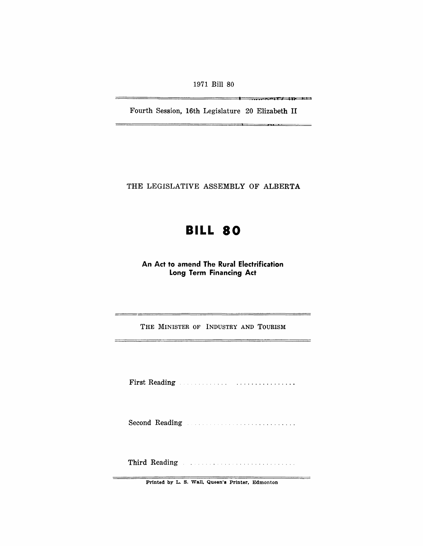1971 Bill 80

Fourth Session, 16th Legislature 20 Elizabeth II

!iii ., b **( I. I <sup>J</sup>**

 $\overline{\phantom{a}}$ 

THE LEGISLATIVE ASSEMBLY OF ALBERTA

# **BILL 80**

An Act to amend The Rural Electrification Long Term Financing Act

THE MINISTER OF INDUSTRY AND TOURISM

First Reading

Second Reading **Second Reading** 

Third Reading **Experimental Contract Contract Contract Contract Contract Contract Contract Contract Contract Contract Contract Contract Contract Contract Contract Contract Contract Contract Contract Contract Contract Contr** 

Printed by L. S. Wall, Queen's Printer, Edmonton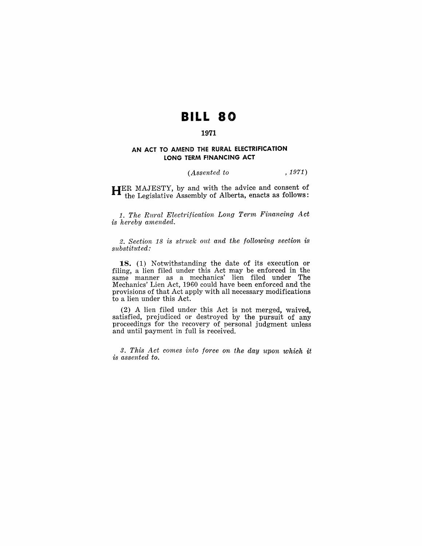## **BILL 80**

### **1971**

#### **AN ACT TO AMEND THE RURAL ELECTRIFICATION LONG TERM FINANCING ACT**

#### *(Assented to* , 1971)

**HER MAJESTY, by and with the advice and consent of** the Legislative Assembly of Alberta, enacts as follows:

*1. The Rural Electrification Long Term Financing Act is hereby amended.* 

*2. Section* 18 *is struck out and the following section is substituted:* 

**18.** (1) Notwithstanding the date of its execution or filing, a lien filed under this Act may be enforced in the same manner as a mechanics' lien filed under The Mechanics' Lien Act, 1960 could have been enforced and the provisions of that Act apply with all necessary modifications to a lien under this Act.

(2) A lien filed under this Act is not merged, waived, satisfied, prejudiced or destroyed by the pursuit of any proceedings for the recovery of personal judgment unless and until payment in full is received.

*3. This Act comes into force on the day upon which it is assented to.*